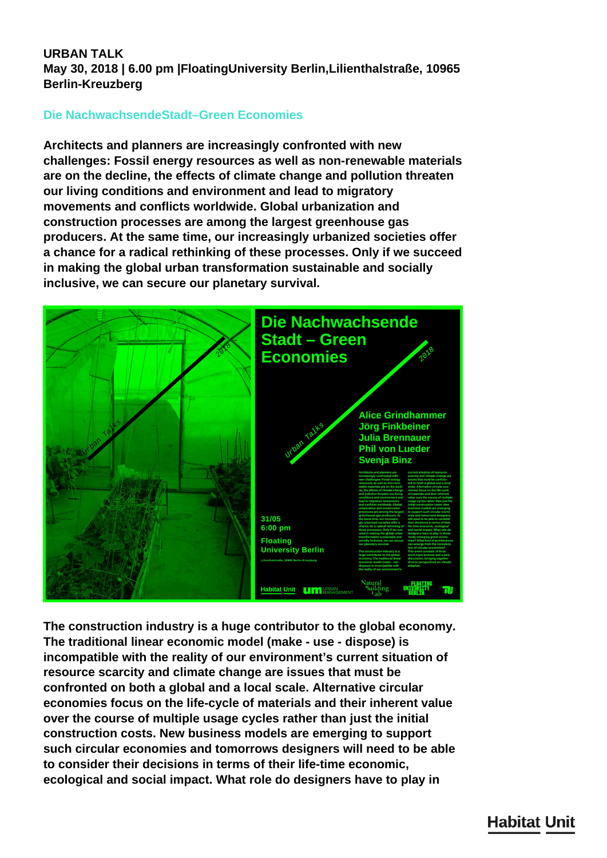## **URBAN TALK May 30, 2018 | 6.00 pm |FloatingUniversity Berlin,Lilienthalstraße, 10965 Berlin-Kreuzberg**

## **Die NachwachsendeStadt–Green Economies**

**Architects and planners are increasingly confronted with new challenges: Fossil energy resources as well as non-renewable materials are on the decline, the effects of climate change and pollution threaten our living conditions and environment and lead to migratory movements and conflicts worldwide. Global urbanization and construction processes are among the largest greenhouse gas producers. At the same time, our increasingly urbanized societies offer a chance for a radical rethinking of these processes. Only if we succeed in making the global urban transformation sustainable and socially inclusive, we can secure our planetary survival.**



**The construction industry is a huge contributor to the global economy. The traditional linear economic model (make - use - dispose) is incompatible with the reality of our environment's current situation of resource scarcity and climate change are issues that must be confronted on both a global and a local scale. Alternative circular economies focus on the life-cycle of materials and their inherent value over the course of multiple usage cycles rather than just the initial construction costs. New business models are emerging to support such circular economies and tomorrows designers will need to be able to consider their decisions in terms of their life-time economic, ecological and social impact. What role do designers have to play in**

## **Habitat Unit**